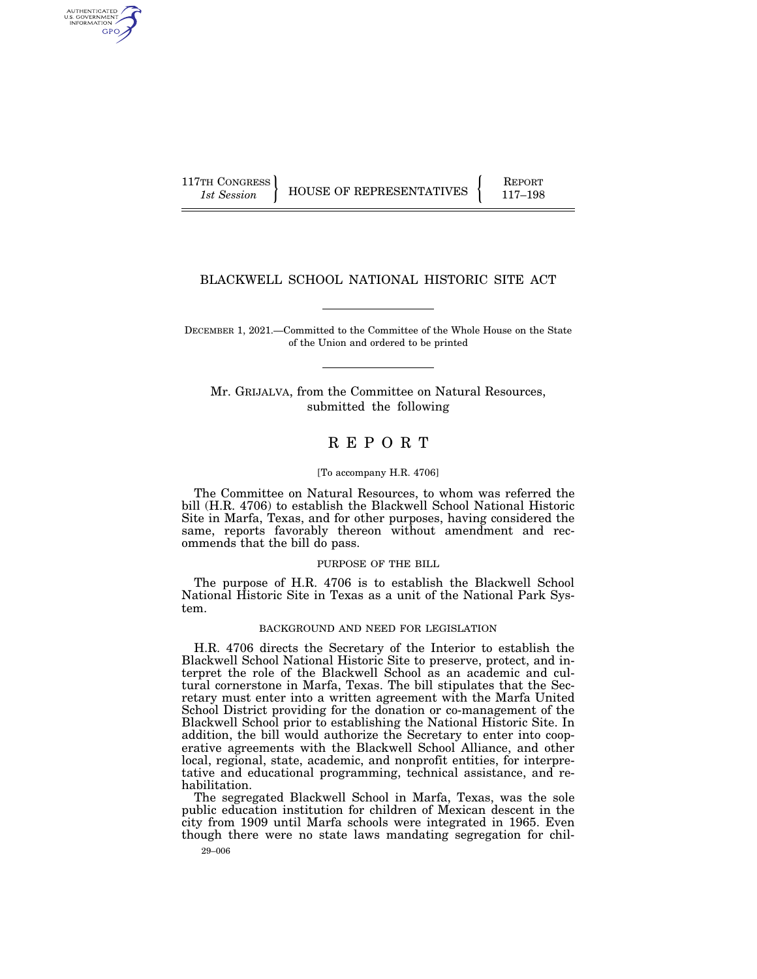AUTHENTICATED U.S. GOVERNMENT GPO

117TH CONGRESS HOUSE OF REPRESENTATIVES FEPORT 117-198

# BLACKWELL SCHOOL NATIONAL HISTORIC SITE ACT

DECEMBER 1, 2021.—Committed to the Committee of the Whole House on the State of the Union and ordered to be printed

Mr. GRIJALVA, from the Committee on Natural Resources, submitted the following

# R E P O R T

## [To accompany H.R. 4706]

The Committee on Natural Resources, to whom was referred the bill (H.R. 4706) to establish the Blackwell School National Historic Site in Marfa, Texas, and for other purposes, having considered the same, reports favorably thereon without amendment and recommends that the bill do pass.

#### PURPOSE OF THE BILL

The purpose of H.R. 4706 is to establish the Blackwell School National Historic Site in Texas as a unit of the National Park System.

#### BACKGROUND AND NEED FOR LEGISLATION

H.R. 4706 directs the Secretary of the Interior to establish the Blackwell School National Historic Site to preserve, protect, and interpret the role of the Blackwell School as an academic and cultural cornerstone in Marfa, Texas. The bill stipulates that the Secretary must enter into a written agreement with the Marfa United School District providing for the donation or co-management of the Blackwell School prior to establishing the National Historic Site. In addition, the bill would authorize the Secretary to enter into cooperative agreements with the Blackwell School Alliance, and other local, regional, state, academic, and nonprofit entities, for interpretative and educational programming, technical assistance, and rehabilitation.

The segregated Blackwell School in Marfa, Texas, was the sole public education institution for children of Mexican descent in the city from 1909 until Marfa schools were integrated in 1965. Even though there were no state laws mandating segregation for chil-

29–006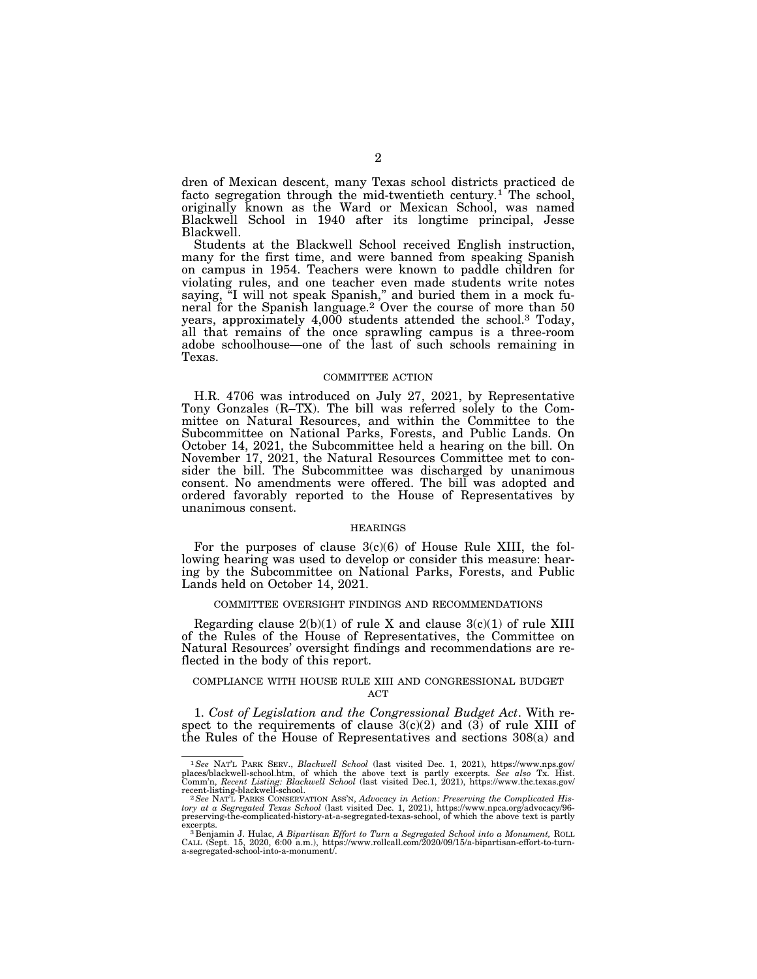dren of Mexican descent, many Texas school districts practiced de facto segregation through the mid-twentieth century.<sup>1</sup> The school, originally known as the Ward or Mexican School, was named Blackwell School in 1940 after its longtime principal, Jesse Blackwell.

Students at the Blackwell School received English instruction, many for the first time, and were banned from speaking Spanish on campus in 1954. Teachers were known to paddle children for violating rules, and one teacher even made students write notes saying, "I will not speak Spanish," and buried them in a mock funeral for the Spanish language.<sup>2</sup> Over the course of more than 50 years, approximately 4,000 students attended the school.3 Today, all that remains of the once sprawling campus is a three-room adobe schoolhouse—one of the last of such schools remaining in Texas.

#### COMMITTEE ACTION

H.R. 4706 was introduced on July 27, 2021, by Representative Tony Gonzales (R–TX). The bill was referred solely to the Committee on Natural Resources, and within the Committee to the Subcommittee on National Parks, Forests, and Public Lands. On October 14, 2021, the Subcommittee held a hearing on the bill. On November 17, 2021, the Natural Resources Committee met to consider the bill. The Subcommittee was discharged by unanimous consent. No amendments were offered. The bill was adopted and ordered favorably reported to the House of Representatives by unanimous consent.

#### HEARINGS

For the purposes of clause  $3(c)(6)$  of House Rule XIII, the following hearing was used to develop or consider this measure: hearing by the Subcommittee on National Parks, Forests, and Public Lands held on October 14, 2021.

## COMMITTEE OVERSIGHT FINDINGS AND RECOMMENDATIONS

Regarding clause  $2(b)(1)$  of rule X and clause  $3(c)(1)$  of rule XIII of the Rules of the House of Representatives, the Committee on Natural Resources' oversight findings and recommendations are reflected in the body of this report.

## COMPLIANCE WITH HOUSE RULE XIII AND CONGRESSIONAL BUDGET ACT

1. *Cost of Legislation and the Congressional Budget Act*. With respect to the requirements of clause  $3(c)(2)$  and  $(3)$  of rule XIII of the Rules of the House of Representatives and sections 308(a) and

<sup>1</sup>*See* NAT'L PARK SERV., *Blackwell School* (last visited Dec. 1, 2021), https://www.nps.gov/ places/blackwell-school.htm, of which the above text is partly excerpts. *See also* Tx. Hist. Comm'n, *Recent Listing: Blackwell School* (last visited Dec.1, 2021), https://www.thc.texas.gov/

<sup>&</sup>lt;sup>2</sup> See NAT'L PARKS CONSERVATION ASS'N, *Advocacy in Action: Preserving the Complicated History at a Segregated Texas School* (last visited Dec. 1, 2021), https://www.npca.org/advocacy/96- preserving-the-complicated-history-at-a-segregated-texas-school, of which the above text is partly

excerpts.<br><sup>3</sup> Benjamin J. Hulac, *A Bipartisan Effort to Turn a Segregated School into a Monument*, ROLL<br>CALL (Sept. 15, 2020, 6:00 a.m.), https://www.rollcall.com/2020/09/15/a-bipartisan-effort-to-turn-<br>a-segregated-schoo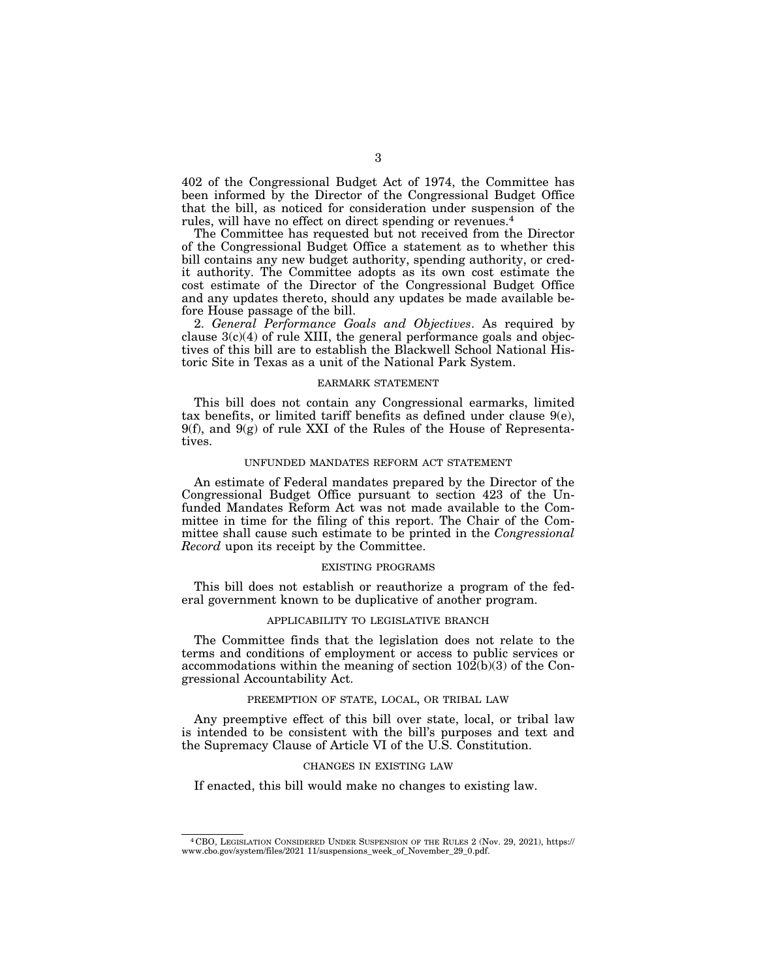402 of the Congressional Budget Act of 1974, the Committee has been informed by the Director of the Congressional Budget Office that the bill, as noticed for consideration under suspension of the rules, will have no effect on direct spending or revenues.4

The Committee has requested but not received from the Director of the Congressional Budget Office a statement as to whether this bill contains any new budget authority, spending authority, or credit authority. The Committee adopts as its own cost estimate the cost estimate of the Director of the Congressional Budget Office and any updates thereto, should any updates be made available before House passage of the bill.

2. *General Performance Goals and Objectives*. As required by clause  $3(c)(4)$  of rule XIII, the general performance goals and objectives of this bill are to establish the Blackwell School National Historic Site in Texas as a unit of the National Park System.

## EARMARK STATEMENT

This bill does not contain any Congressional earmarks, limited tax benefits, or limited tariff benefits as defined under clause 9(e), 9(f), and 9(g) of rule XXI of the Rules of the House of Representatives.

## UNFUNDED MANDATES REFORM ACT STATEMENT

An estimate of Federal mandates prepared by the Director of the Congressional Budget Office pursuant to section 423 of the Unfunded Mandates Reform Act was not made available to the Committee in time for the filing of this report. The Chair of the Committee shall cause such estimate to be printed in the *Congressional Record* upon its receipt by the Committee.

#### EXISTING PROGRAMS

This bill does not establish or reauthorize a program of the federal government known to be duplicative of another program.

## APPLICABILITY TO LEGISLATIVE BRANCH

The Committee finds that the legislation does not relate to the terms and conditions of employment or access to public services or accommodations within the meaning of section 102(b)(3) of the Congressional Accountability Act.

## PREEMPTION OF STATE, LOCAL, OR TRIBAL LAW

Any preemptive effect of this bill over state, local, or tribal law is intended to be consistent with the bill's purposes and text and the Supremacy Clause of Article VI of the U.S. Constitution.

#### CHANGES IN EXISTING LAW

If enacted, this bill would make no changes to existing law.

<sup>4</sup> CBO, LEGISLATION CONSIDERED UNDER SUSPENSION OF THE RULES 2 (Nov. 29, 2021), https:// www.cbo.gov/system/files/2021 11/suspensions\_week\_of\_November\_29\_0.pdf.